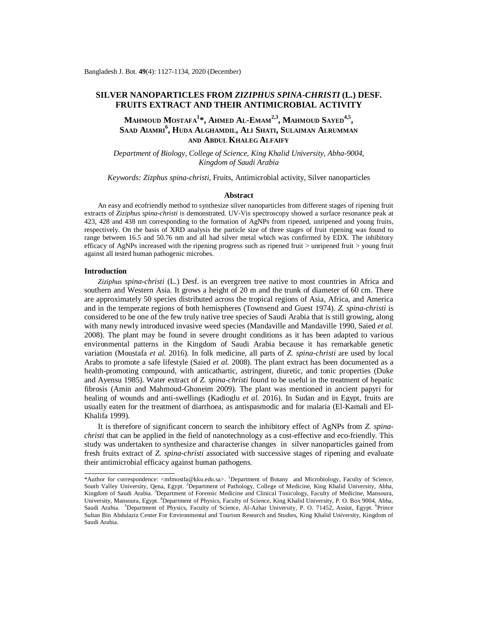# **SILVER NANOPARTICLES FROM** *ZIZIPHUS SPINA-CHRISTI* **(L.) DESF. FRUITS EXTRACT AND THEIR ANTIMICROBIAL ACTIVITY**

**MAHMOUD MOSTAFA<sup>1</sup> \*, AHMED AL-EMAM2,3, MAHMOUD SAYED4,5 , SAAD AlAMRI<sup>6</sup> , HUDA ALGHAMDIL, ALI SHATI, SULAIMAN ALRUMMAN AND ABDUL KHALEG ALFAIFY**

*Department of Biology, College of Science, King Khalid University, Abha-9004, Kingdom of Saudi Arabia*

*Keywords: Zizphus spina-christi*, Fruits, Antimicrobial activity, Silver nanoparticles

### **Abstract**

An easy and ecofriendly method to synthesize silver nanoparticles from different stages of ripening fruit extracts of *Ziziphus spina-christi* is demonstrated. UV-Vis spectroscopy showed a surface resonance peak at 423, 428 and 438 nm corresponding to the formation of AgNPs from ripened, unripened and young fruits, respectively. On the basis of XRD analysis the particle size of three stages of fruit ripening was found to range between 16.5 and 50.76 nm and all had silver metal which was confirmed by EDX. The inhibitory efficacy of AgNPs increased with the ripening progress such as ripened fruit > unripened fruit > young fruit against all tested human pathogenic microbes.

## **Introduction**

*Ziziphus spina-christi* (L.) Desf. is an evergreen tree native to most countries in Africa and southern and Western Asia. It grows a height of 20 m and the trunk of diameter of 60 cm. There are approximately 50 species distributed across the tropical regions of Asia, Africa, and America and in the temperate regions of both hemispheres (Townsend and Guest 1974). *Z. spina-christi* is considered to be one of the few truly native tree species of Saudi Arabia that is still growing, along with many newly introduced invasive weed species (Mandaville and Mandaville 1990, Saied *et al.* 2008). The plant may be found in severe drought conditions as it has been adapted to various environmental patterns in the Kingdom of Saudi Arabia because it has remarkable genetic variation (Moustafa *et al.* 2016). In folk medicine, all parts of *Z. spina-christi* are used by local Arabs to promote a safe lifestyle (Saied *et al.* 2008). The plant extract has been documented as a health-promoting compound, with anticathartic, astringent, diuretic, and tonic properties (Duke and Ayensu 1985). Water extract of *Z. spina-christi* found to be useful in the treatment of hepatic fibrosis (Amin and Mahmoud-Ghoneim 2009). The plant was mentioned in ancient papyri for healing of wounds and anti-swellings (Kadioglu *et al.* 2016). In Sudan and in Egypt, fruits are usually eaten for the treatment of diarrhoea, as antispasmodic and for malaria (El-Kamali and El-Khalifa 1999).

It is therefore of significant concern to search the inhibitory effect of AgNPs from *Z. spinachristi* that can be applied in the field of nanotechnology as a cost-effective and eco-friendly. This study was undertaken to synthesize and characterise changes in silver nanoparticles gained from fresh fruits extract of *Z. spina-christi* associated with successive stages of ripening and evaluate their antimicrobial efficacy against human pathogens.

<sup>\*</sup>Author for correspondence: <[mfmostfa@kku.edu.sa>](mailto:mfmostfa@kku.edu.sa). <sup>1</sup>Department of Botany and Microbiology, Faculty of Science, South Valley University, Qena, Egypt. <sup>2</sup>Department of Pathology, College of Medicine, King Khalid University, Abha, Kingdom of Saudi Arabia. <sup>3</sup>Department of Forensic Medicine and Clinical Toxicology, Faculty of Medicine, Mansoura, University, Mansoura, Egypt. <sup>4</sup>Department of Physics, Faculty of Science, King Khalid University, P. O. Box 9004, Abha, Saudi Arabia. <sup>5</sup>Department of Physics, Faculty of Science, Al-Azhar University, P. O. 71452, Assiut, Egypt. <sup>6</sup>Prince Sultan Bin Abdulaziz Center For Environmental and Tourism Research and Studies, King Khalid University, Kingdom of Saudi Arabia.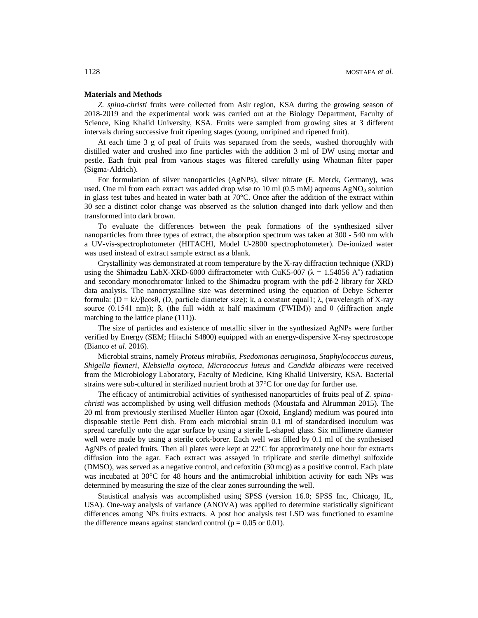## **Materials and Methods**

*Z. spina-christi* fruits were collected from Asir region, KSA during the growing season of 2018-2019 and the experimental work was carried out at the Biology Department, Faculty of Science, King Khalid University, KSA. Fruits were sampled from growing sites at 3 different intervals during successive fruit ripening stages (young, unripined and ripened fruit).

At each time 3 g of peal of fruits was separated from the seeds, washed thoroughly with distilled water and crushed into fine particles with the addition 3 ml of DW using mortar and pestle. Each fruit peal from various stages was filtered carefully using Whatman filter paper (Sigma-Aldrich).

For formulation of silver nanoparticles (AgNPs), silver nitrate (E. Merck, Germany), was used. One ml from each extract was added drop wise to  $10 \text{ ml}$  (0.5 mM) aqueous AgNO<sub>3</sub> solution in glass test tubes and heated in water bath at 70°C. Once after the addition of the extract within 30 sec a distinct color change was observed as the solution changed into dark yellow and then transformed into dark brown.

To evaluate the differences between the peak formations of the synthesized silver nanoparticles from three types of extract, the absorption spectrum was taken at 300 - 540 nm with a UV-vis-spectrophotometer (HITACHI, Model U-2800 spectrophotometer). De-ionized water was used instead of extract sample extract as a blank.

Crystallinity was demonstrated at room temperature by the X-ray diffraction technique (XRD) using the Shimadzu LabX-XRD-6000 diffractometer with CuK5-007 ( $\lambda = 1.54056$  A<sup>°</sup>) radiation and secondary monochromator linked to the Shimadzu program with the pdf-2 library for XRD data analysis. The nanocrystalline size was determined using the equation of Debye–Scherrer formula: (D = kλ/βcosθ, (D, particle diameter size); k, a constant equal1; λ, (wavelength of X-ray source (0.1541 nm)); β, (the full width at half maximum (FWHM)) and  $θ$  (diffraction angle matching to the lattice plane (111)).

The size of particles and existence of metallic silver in the synthesized AgNPs were further verified by Energy (SEM; Hitachi S4800) equipped with an energy-dispersive X-ray spectroscope (Bianco *et al.* 2016).

Microbial strains, namely *Proteus mirabilis*, *Psedomonas aeruginosa*, *Staphylococcus aureus*, *Shigella flexneri*, *Klebsiella oxytoca, Micrococcus luteus* and *Candida albicans* were received from the Microbiology Laboratory, Faculty of Medicine, King Khalid University, KSA. Bacterial strains were sub-cultured in sterilized nutrient broth at  $37^{\circ}$ C for one day for further use.

The efficacy of antimicrobial activities of synthesised nanoparticles of fruits peal of *Z. spinachristi* was accomplished by using well diffusion methods (Moustafa and Alrumman 2015). The 20 ml from previously sterilised Mueller Hinton agar (Oxoid, England) medium was poured into disposable sterile Petri dish. From each microbial strain 0.1 ml of standardised inoculum was spread carefully onto the agar surface by using a sterile L-shaped glass. Six millimetre diameter well were made by using a sterile cork-borer. Each well was filled by 0.1 ml of the synthesised AgNPs of pealed fruits. Then all plates were kept at  $22^{\circ}$ C for approximately one hour for extracts diffusion into the agar. Each extract was assayed in triplicate and sterile dimethyl sulfoxide (DMSO), was served as a negative control, and cefoxitin (30 mcg) as a positive control. Each plate was incubated at 30°C for 48 hours and the antimicrobial inhibition activity for each NPs was determined by measuring the size of the clear zones surrounding the well.

Statistical analysis was accomplished using SPSS (version 16.0; SPSS Inc, Chicago, IL, USA). One-way analysis of variance (ANOVA) was applied to determine statistically significant differences among NPs fruits extracts. A post hoc analysis test LSD was functioned to examine the difference means against standard control ( $p = 0.05$  or 0.01).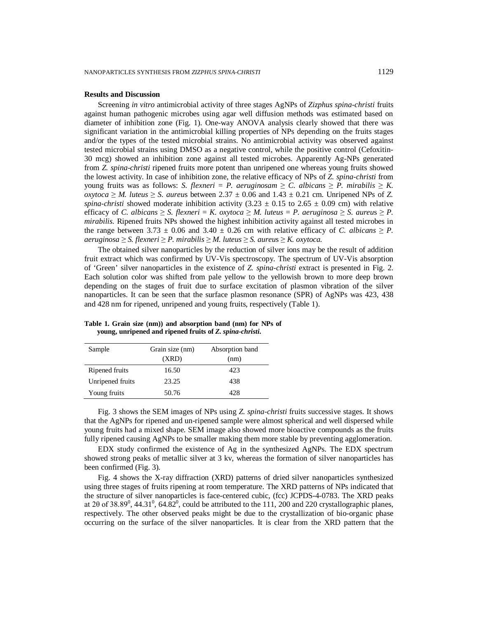### **Results and Discussion**

Screening *in vitro* antimicrobial activity of three stages AgNPs of *Zizphus spina-christi* fruits against human pathogenic microbes using agar well diffusion methods was estimated based on diameter of inhibition zone (Fig. 1). One-way ANOVA analysis clearly showed that there was significant variation in the antimicrobial killing properties of NPs depending on the fruits stages and/or the types of the tested microbial strains. No antimicrobial activity was observed against tested microbial strains using DMSO as a negative control, while the positive control (Cefoxitin-30 mcg) showed an inhibition zone against all tested microbes. Apparently Ag-NPs generated from *Z. spina-christi* ripened fruits more potent than unripened one whereas young fruits showed the lowest activity. In case of inhibition zone, the relative efficacy of NPs of *Z. spina-christi* from young fruits was as follows: *S. flexneri* = *P. aeruginosam*  $\geq C$ . *albicans*  $\geq P$ *. mirabilis*  $\geq K$ . *oxytoca* ≥ *M.* luteus ≥ *S.* aureus between 2.37  $\pm$  0.06 and 1.43  $\pm$  0.21 cm. Unripened NPs of *Z. spina-christi* showed moderate inhibition activity  $(3.23 \pm 0.15$  to  $2.65 \pm 0.09$  cm) with relative efficacy of *C. albicans*  $\geq$  *S. flexneri* = *K. oxytoca*  $\geq$  *M. luteus* = *P. aeruginosa*  $\geq$  *S. aureus*  $\geq$  *P. mirabilis.* Ripened fruits NPs showed the highest inhibition activity against all tested microbes in the range between  $3.73 \pm 0.06$  and  $3.40 \pm 0.26$  cm with relative efficacy of *C. albicans*  $\ge P$ . *aeruginosa* ≥ *S. flexneri* ≥ *P. mirabilis* ≥ *M. luteus* ≥ *S. aureu*s ≥ *K. oxytoca.*

The obtained silver nanoparticles by the reduction of silver ions may be the result of addition fruit extract which was confirmed by UV-Vis spectroscopy. The spectrum of UV-Vis absorption of 'Green' silver nanoparticles in the existence of *Z. spina-christi* extract is presented in Fig. 2. Each solution color was shifted from pale yellow to the yellowish brown to more deep brown depending on the stages of fruit due to surface excitation of plasmon vibration of the silver nanoparticles. It can be seen that the surface plasmon resonance (SPR) of AgNPs was 423, 438 and 428 nm for ripened, unripened and young fruits, respectively (Table 1).

| Sample           | Grain size (nm) | Absorption band |
|------------------|-----------------|-----------------|
|                  | (XRD)           | (nm)            |
| Ripened fruits   | 16.50           | 423             |
| Unripened fruits | 23.25           | 438             |
| Young fruits     | 50.76           | 428             |

**Table 1. Grain size (nm)) and absorption band (nm) for NPs of young, unripened and ripened fruits of** *Z. spina-christi***.**

Fig. 3 shows the SEM images of NPs using *Z. spina-christi* fruits successive stages. It shows that the AgNPs for ripened and un-ripened sample were almost spherical and well dispersed while young fruits had a mixed shape. SEM image also showed more bioactive compounds as the fruits fully ripened causing AgNPs to be smaller making them more stable by preventing agglomeration.

EDX study confirmed the existence of Ag in the synthesized AgNPs. The EDX spectrum showed strong peaks of metallic silver at 3 kv, whereas the formation of silver nanoparticles has been confirmed (Fig. 3).

Fig. 4 shows the X-ray diffraction (XRD) patterns of dried silver nanoparticles synthesized using three stages of fruits ripening at room temperature. The XRD patterns of NPs indicated that the structure of silver nanoparticles is face-centered cubic, (fcc) JCPDS-4-0783. The XRD peaks at 20 of 38.89<sup>0</sup>, 44.31<sup>0</sup>, 64.82<sup>0</sup>, could be attributed to the 111, 200 and 220 crystallographic planes, respectively. The other observed peaks might be due to the crystallization of bio-organic phase occurring on the surface of the silver nanoparticles. It is clear from the XRD pattern that the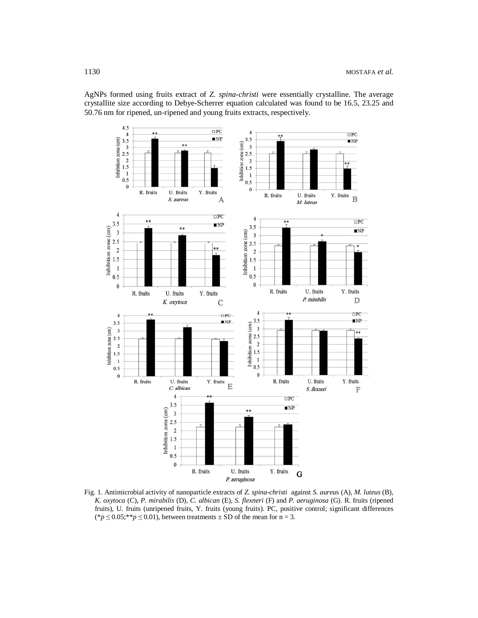AgNPs formed using fruits extract of *Z. spina-christi* were essentially crystalline. The average crystallite size according to Debye-Scherrer equation calculated was found to be 16.5, 23.25 and 50.76 nm for ripened, un-ripened and young fruits extracts, respectively.



Fig. 1. Antimicrobial activity of nanoparticle extracts of *Z. spina-christi* against *S. aureu*s (A), *M. luteus* (B), *K. oxytoca* (C), *P. mirabilis* (D), *C. albican* (E), *S. flexneri* (F) and *P. aeruginosa* (G). R. fruits (ripened fruits), U. fruits (unripened fruits, Y. fruits (young fruits). PC, positive control; significant differences  $(*p \leq 0.05; **p \leq 0.01)$ , between treatments  $\pm$  SD of the mean for n = 3.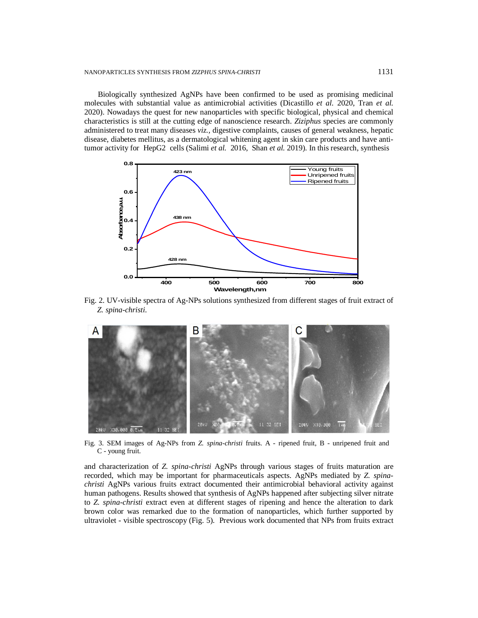Biologically synthesized AgNPs have been confirmed to be used as promising medicinal molecules with substantial value as antimicrobial activities (Dicastillo *et al.* 2020, Tran *et al.* 2020). Nowadays the quest for new nanoparticles with specific biological, physical and chemical characteristics is still at the cutting edge of nanoscience research. *Ziziphus* species are commonly administered to treat many diseases *viz.,* digestive complaints, causes of general weakness, hepatic disease, diabetes mellitus, as a dermatological whitening agent in skin care products and have antitumor activity for HepG2 cells (Salimi *et al.* 2016, Shan *et al.* 2019). In this research, synthesis



Fig. 2. UV-visible spectra of Ag-NPs solutions synthesized from different stages of fruit extract of *Z. spina-christi*.



Fig. 3. SEM images of Ag-NPs from *Z. spina-christi* fruits. A - ripened fruit, B - unripened fruit and C - young fruit.

and characterization of *Z. spina-christi* AgNPs through various stages of fruits maturation are recorded, which may be important for pharmaceuticals aspects. AgNPs mediated by *Z. spinachristi* AgNPs various fruits extract documented their antimicrobial behavioral activity against human pathogens. Results showed that synthesis of AgNPs happened after subjecting silver nitrate to *Z. spina-christi* extract even at different stages of ripening and hence the alteration to dark brown color was remarked due to the formation of nanoparticles, which further supported by ultraviolet - visible spectroscopy (Fig. 5). Previous work documented that NPs from fruits extract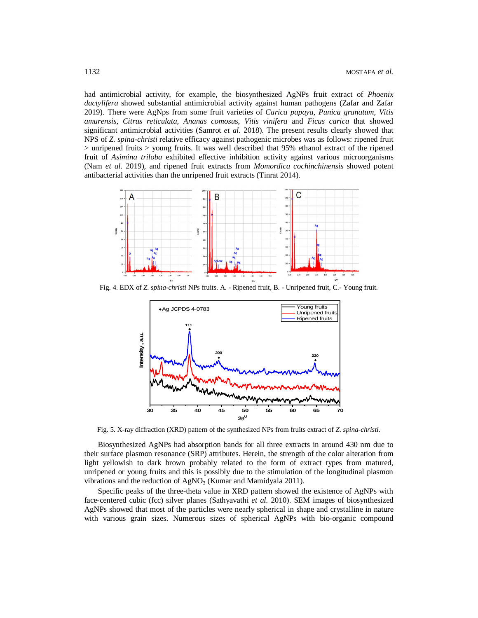had antimicrobial activity, for example, the biosynthesized AgNPs fruit extract of *Phoenix dactylifera* showed substantial antimicrobial activity against human pathogens (Zafar and Zafar 2019). There were AgNps from some fruit varieties of *Carica papaya*, *Punica granatum*, *Vitis amurensis*, *Citrus reticulata*, *Ananas comosu*s, *Vitis vinifera* and *Ficus carica* that showed significant antimicrobial activities (Samrot *et al.* 2018). The present results clearly showed that NPS of *Z. spina-christi* relative efficacy against pathogenic microbes was as follows: ripened fruit  $>$  unripened fruits  $>$  young fruits. It was well described that 95% ethanol extract of the ripened fruit of *Asimina triloba* exhibited effective inhibition activity against various microorganisms (Nam *et al.* 2019), and ripened fruit extracts from *Momordica cochinchinensis* showed potent antibacterial activities than the unripened fruit extracts (Tinrat 2014).



Fig. 4. EDX of *Z. spina-christi* NPs fruits. A. - Ripened fruit, B. - Unripened fruit, C.- Young fruit.



Fig. 5. X-ray diffraction (XRD) pattern of the synthesized NPs from fruits extract of *Z. spina-christi*.

Biosynthesized AgNPs had absorption bands for all three extracts in around 430 nm due to their surface plasmon resonance (SRP) attributes. Herein, the strength of the color alteration from light yellowish to dark brown probably related to the form of extract types from matured, unripened or young fruits and this is possibly due to the stimulation of the longitudinal plasmon vibrations and the reduction of  $AgNO<sub>3</sub>$  (Kumar and Mamidyala 2011).

Specific peaks of the three-theta value in XRD pattern showed the existence of AgNPs with face-centered cubic (fcc) silver planes (Sathyavathi *et al.* 2010). SEM images of biosynthesized AgNPs showed that most of the particles were nearly spherical in shape and crystalline in nature with various grain sizes. Numerous sizes of spherical AgNPs with bio-organic compound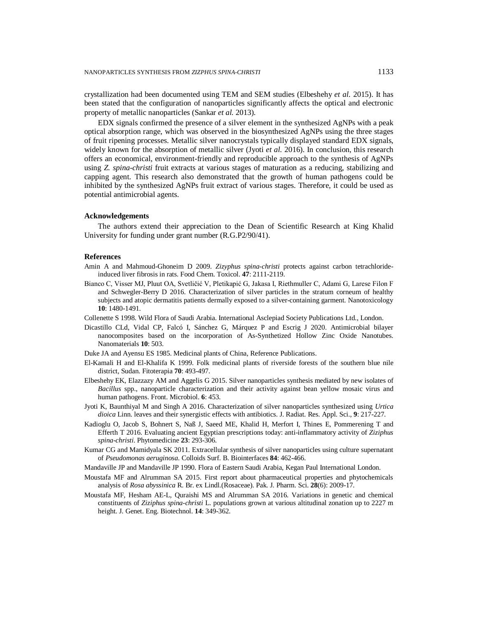crystallization had been documented using TEM and SEM studies (Elbeshehy *et al.* 2015). It has been stated that the configuration of nanoparticles significantly affects the optical and electronic property of metallic nanoparticles (Sankar *et al.* 2013).

EDX signals confirmed the presence of a silver element in the synthesized AgNPs with a peak optical absorption range, which was observed in the biosynthesized AgNPs using the three stages of fruit ripening processes. Metallic silver nanocrystals typically displayed standard EDX signals, widely known for the absorption of metallic silver (Jyoti *et al.* 2016). In conclusion, this research offers an economical, environment-friendly and reproducible approach to the synthesis of AgNPs using *Z. spina-christi* fruit extracts at various stages of maturation as a reducing, stabilizing and capping agent. This research also demonstrated that the growth of human pathogens could be inhibited by the synthesized AgNPs fruit extract of various stages. Therefore, it could be used as potential antimicrobial agents.

### **Acknowledgements**

The authors extend their appreciation to the Dean of Scientific Research at King Khalid University for funding under grant number (R.G.P2/90/41).

## **References**

- Amin A and Mahmoud-Ghoneim D 2009. *Zizyphus spina-christi* protects against carbon tetrachlorideinduced liver fibrosis in rats. Food Chem. Toxicol. **47**: 2111-2119.
- Bianco C, Visser MJ, Pluut OA, Svetličić V, Pletikapić G, Jakasa I, Riethmuller C, Adami G, Larese Filon F and Schwegler-Berry D 2016. Characterization of silver particles in the stratum corneum of healthy subjects and atopic dermatitis patients dermally exposed to a silver-containing garment. Nanotoxicology **10**: 1480-1491.
- Collenette S 1998. Wild Flora of Saudi Arabia. International Asclepiad Society Publications Ltd., London.
- Dicastillo CLd, Vidal CP, Falcó I, Sánchez G, Márquez P and Escrig J 2020. Antimicrobial bilayer nanocomposites based on the incorporation of As-Synthetized Hollow Zinc Oxide Nanotubes. Nanomaterials **10**: 503.
- Duke JA and Ayensu ES 1985. Medicinal plants of China, Reference Publications.
- El-Kamali H and El-Khalifa K 1999. Folk medicinal plants of riverside forests of the southern blue nile district, Sudan. Fitoterapia **70**: 493-497.
- Elbeshehy EK, Elazzazy AM and Aggelis G 2015. Silver nanoparticles synthesis mediated by new isolates of *Bacillus* spp., nanoparticle characterization and their activity against bean yellow mosaic virus and human pathogens. Front. Microbiol. **6**: 453.
- Jyoti K, Baunthiyal M and Singh A 2016. Characterization of silver nanoparticles synthesized using *Urtica dioica* Linn. leaves and their synergistic effects with antibiotics. J. Radiat. Res. Appl. Sci., **9**: 217-227.
- Kadioglu O, Jacob S, Bohnert S, Naß J, Saeed ME, Khalid H, Merfort I, Thines E, Pommerening T and Efferth T 2016. Evaluating ancient Egyptian prescriptions today: anti-inflammatory activity of *Ziziphus spina-christi*. Phytomedicine **23**: 293-306.
- Kumar CG and Mamidyala SK 2011. Extracellular synthesis of silver nanoparticles using culture supernatant of *Pseudomonas aeruginosa*. Colloids Surf. B. Biointerfaces **84**: 462-466.
- Mandaville JP and Mandaville JP 1990. Flora of Eastern Saudi Arabia, Kegan Paul International London.
- Moustafa MF and Alrumman SA 2015. First report about pharmaceutical properties and phytochemicals analysis of *Rosa abyssinica* R. Br. ex Lindl.(Rosaceae). Pak*.* J*.* Pharm. Sci. **28**(6): 2009-17.
- Moustafa MF, Hesham AE-L, Quraishi MS and Alrumman SA 2016. Variations in genetic and chemical constituents of *Ziziphus spina-christi* L. populations grown at various altitudinal zonation up to 2227 m height. J. Genet. Eng. Biotechnol. **14**: 349-362.